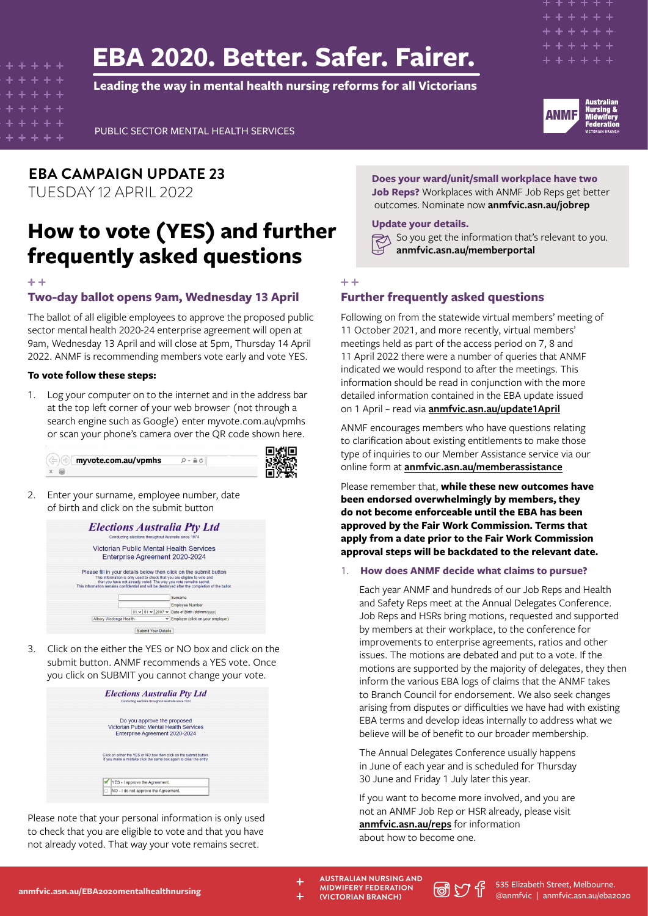# **EBA 2020. Better. Safer. Fairer.**

**Leading the way in mental health nursing reforms for all Victorians**



PUBLIC SECTOR MENTAL HEALTH SERVICES

**EBA CAMPAIGN UPDATE 23** TUESDAY 12 APRIL 2022

## **How to vote (YES) and further frequently asked questions**

## **Two-day ballot opens 9am, Wednesday 13 April**

The ballot of all eligible employees to approve the proposed public sector mental health 2020-24 enterprise agreement will open at 9am, Wednesday 13 April and will close at 5pm, Thursday 14 April 2022. ANMF is recommending members vote early and vote YES.

## **To vote follow these steps:**

1. Log your computer on to the internet and in the address bar at the top left corner of your web browser (not through a search engine such as Google) enter myvote.com.au/vpmhs or scan your phone's camera over the QR code shown here.



2. Enter your surname, employee number, date of birth and click on the submit button



3. Click on the either the YES or NO box and click on the submit button. ANMF recommends a YES vote. Once you click on SUBMIT you cannot change your vote.

| <b>Elections Australia Pty Ltd</b><br>Conducting elections throughout Australia since 1974                                               |
|------------------------------------------------------------------------------------------------------------------------------------------|
| Do you approve the proposed<br>Victorian Public Mental Health Services<br>Enterprise Agreement 2020-2024                                 |
| Click on either the YES or NO box then click on the submit button.<br>If you make a mistake click the same box again to clear the entry. |
| YES - I approve the Agreement.<br>NO - I do not approve the Agreement.                                                                   |

Please note that your personal information is only used to check that you are eligible to vote and that you have not already voted. That way your vote remains secret.

**Does your ward/unit/small workplace have two Job Reps?** Workplaces with ANMF Job Reps get better outcomes. Nominate now **anmfvic.asn.au/jobrep**

## **Update your details.**

So you get the information that's relevant to you. **anmfvic.asn.au/memberportal**

#### $+ +$

## **Further frequently asked questions**

Following on from the statewide virtual members' meeting of 11 October 2021, and more recently, virtual members' meetings held as part of the access period on 7, 8 and 11 April 2022 there were a number of queries that ANMF indicated we would respond to after the meetings. This information should be read in conjunction with the more detailed information contained in the EBA update issued on 1 April – read via **[anmfvic.asn.au/update1April](https://anmfvic.asn.au/update1April)**

ANMF encourages members who have questions relating to clarification about existing entitlements to make those type of inquiries to our Member Assistance service via our online form at **[anmfvic.asn.au/memberassistance](https://anmfvic.asn.au/memberassistance)**

Please remember that, **while these new outcomes have been endorsed overwhelmingly by members, they do not become enforceable until the EBA has been approved by the Fair Work Commission. Terms that apply from a date prior to the Fair Work Commission approval steps will be backdated to the relevant date.**

## 1. **How does ANMF decide what claims to pursue?**

Each year ANMF and hundreds of our Job Reps and Health and Safety Reps meet at the Annual Delegates Conference. Job Reps and HSRs bring motions, requested and supported by members at their workplace, to the conference for improvements to enterprise agreements, ratios and other issues. The motions are debated and put to a vote. If the motions are supported by the majority of delegates, they then inform the various EBA logs of claims that the ANMF takes to Branch Council for endorsement. We also seek changes arising from disputes or difficulties we have had with existing EBA terms and develop ideas internally to address what we believe will be of benefit to our broader membership.

The Annual Delegates Conference usually happens in June of each year and is scheduled for Thursday 30 June and Friday 1 July later this year.

If you want to become more involved, and you are not an ANMF Job Rep or HSR already, please visit **[anmfvic.asn.au/reps](https://anmfvic.asn.au/reps)** for information about how to become one.

**[anmfvic.asn.au/EBA2020mentalhealthnursing](https://anmfvic.asn.au/eba2020mentalhealthnursing)** 

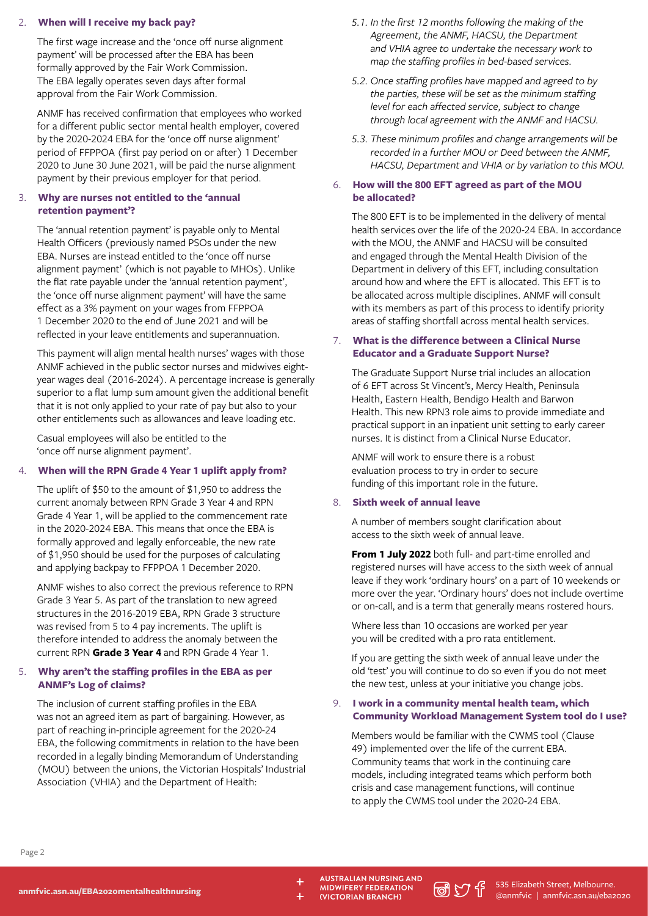## 2. **When will I receive my back pay?**

The first wage increase and the 'once off nurse alignment payment' will be processed after the EBA has been formally approved by the Fair Work Commission. The EBA legally operates seven days after formal approval from the Fair Work Commission.

ANMF has received confirmation that employees who worked for a different public sector mental health employer, covered by the 2020-2024 EBA for the 'once off nurse alignment' period of FFPPOA (first pay period on or after) 1 December 2020 to June 30 June 2021, will be paid the nurse alignment payment by their previous employer for that period.

## 3. **Why are nurses not entitled to the 'annual retention payment'?**

The 'annual retention payment' is payable only to Mental Health Officers (previously named PSOs under the new EBA. Nurses are instead entitled to the 'once off nurse alignment payment' (which is not payable to MHOs). Unlike the flat rate payable under the 'annual retention payment', the 'once off nurse alignment payment' will have the same effect as a 3% payment on your wages from FFPPOA 1 December 2020 to the end of June 2021 and will be reflected in your leave entitlements and superannuation.

This payment will align mental health nurses' wages with those ANMF achieved in the public sector nurses and midwives eightyear wages deal (2016-2024). A percentage increase is generally superior to a flat lump sum amount given the additional benefit that it is not only applied to your rate of pay but also to your other entitlements such as allowances and leave loading etc.

Casual employees will also be entitled to the 'once off nurse alignment payment'.

## 4. **When will the RPN Grade 4 Year 1 uplift apply from?**

The uplift of \$50 to the amount of \$1,950 to address the current anomaly between RPN Grade 3 Year 4 and RPN Grade 4 Year 1, will be applied to the commencement rate in the 2020-2024 EBA. This means that once the EBA is formally approved and legally enforceable, the new rate of \$1,950 should be used for the purposes of calculating and applying backpay to FFPPOA 1 December 2020.

ANMF wishes to also correct the previous reference to RPN Grade 3 Year 5. As part of the translation to new agreed structures in the 2016-2019 EBA, RPN Grade 3 structure was revised from 5 to 4 pay increments. The uplift is therefore intended to address the anomaly between the current RPN **Grade 3 Year 4** and RPN Grade 4 Year 1.

## 5. **Why aren't the staffing profiles in the EBA as per ANMF's Log of claims?**

The inclusion of current staffing profiles in the EBA was not an agreed item as part of bargaining. However, as part of reaching in-principle agreement for the 2020-24 EBA, the following commitments in relation to the have been recorded in a legally binding Memorandum of Understanding (MOU) between the unions, the Victorian Hospitals' Industrial Association (VHIA) and the Department of Health:

- *5.1. In the first 12 months following the making of the Agreement, the ANMF, HACSU, the Department and VHIA agree to undertake the necessary work to map the staffing profiles in bed-based services.*
- *5.2. Once staffing profiles have mapped and agreed to by the parties, these will be set as the minimum staffing level for each affected service, subject to change through local agreement with the ANMF and HACSU.*
- *5.3. These minimum profiles and change arrangements will be recorded in a further MOU or Deed between the ANMF, HACSU, Department and VHIA or by variation to this MOU.*

## 6. **How will the 800 EFT agreed as part of the MOU be allocated?**

The 800 EFT is to be implemented in the delivery of mental health services over the life of the 2020-24 EBA. In accordance with the MOU, the ANMF and HACSU will be consulted and engaged through the Mental Health Division of the Department in delivery of this EFT, including consultation around how and where the EFT is allocated. This EFT is to be allocated across multiple disciplines. ANMF will consult with its members as part of this process to identify priority areas of staffing shortfall across mental health services.

## 7. **What is the difference between a Clinical Nurse Educator and a Graduate Support Nurse?**

The Graduate Support Nurse trial includes an allocation of 6 EFT across St Vincent's, Mercy Health, Peninsula Health, Eastern Health, Bendigo Health and Barwon Health. This new RPN3 role aims to provide immediate and practical support in an inpatient unit setting to early career nurses. It is distinct from a Clinical Nurse Educator.

ANMF will work to ensure there is a robust evaluation process to try in order to secure funding of this important role in the future.

## 8. **Sixth week of annual leave**

A number of members sought clarification about access to the sixth week of annual leave.

**From 1 July 2022** both full- and part-time enrolled and registered nurses will have access to the sixth week of annual leave if they work 'ordinary hours' on a part of 10 weekends or more over the year. 'Ordinary hours' does not include overtime or on-call, and is a term that generally means rostered hours.

Where less than 10 occasions are worked per year you will be credited with a pro rata entitlement.

If you are getting the sixth week of annual leave under the old 'test' you will continue to do so even if you do not meet the new test, unless at your initiative you change jobs.

## 9. **I work in a community mental health team, which Community Workload Management System tool do I use?**

Members would be familiar with the CWMS tool (Clause 49) implemented over the life of the current EBA. Community teams that work in the continuing care models, including integrated teams which perform both crisis and case management functions, will continue to apply the CWMS tool under the 2020-24 EBA.

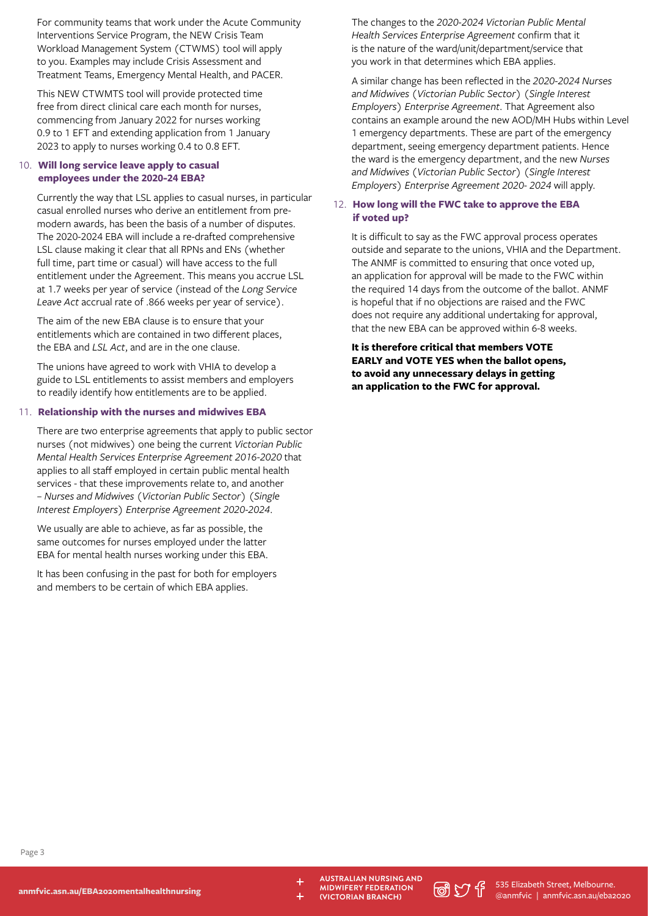For community teams that work under the Acute Community Interventions Service Program, the NEW Crisis Team Workload Management System (CTWMS) tool will apply to you. Examples may include Crisis Assessment and Treatment Teams, Emergency Mental Health, and PACER.

This NEW CTWMTS tool will provide protected time free from direct clinical care each month for nurses, commencing from January 2022 for nurses working 0.9 to 1 EFT and extending application from 1 January 2023 to apply to nurses working 0.4 to 0.8 EFT.

## 10. **Will long service leave apply to casual employees under the 2020-24 EBA?**

Currently the way that LSL applies to casual nurses, in particular casual enrolled nurses who derive an entitlement from premodern awards, has been the basis of a number of disputes. The 2020-2024 EBA will include a re-drafted comprehensive LSL clause making it clear that all RPNs and ENs (whether full time, part time or casual) will have access to the full entitlement under the Agreement. This means you accrue LSL at 1.7 weeks per year of service (instead of the *Long Service Leave Act* accrual rate of .866 weeks per year of service).

The aim of the new EBA clause is to ensure that your entitlements which are contained in two different places, the EBA and *LSL Act*, and are in the one clause.

The unions have agreed to work with VHIA to develop a guide to LSL entitlements to assist members and employers to readily identify how entitlements are to be applied.

## 11. **Relationship with the nurses and midwives EBA**

There are two enterprise agreements that apply to public sector nurses (not midwives) one being the current *Victorian Public Mental Health Services Enterprise Agreement 2016-2020* that applies to all staff employed in certain public mental health services - that these improvements relate to, and another – *Nurses and Midwives (Victorian Public Sector) (Single Interest Employers) Enterprise Agreement 2020-2024*.

We usually are able to achieve, as far as possible, the same outcomes for nurses employed under the latter EBA for mental health nurses working under this EBA.

It has been confusing in the past for both for employers and members to be certain of which EBA applies.

The changes to the *2020-2024 Victorian Public Mental Health Services Enterprise Agreement* confirm that it is the nature of the ward/unit/department/service that you work in that determines which EBA applies.

A similar change has been reflected in the *2020-2024 Nurses and Midwives (Victorian Public Sector) (Single Interest Employers) Enterprise Agreement*. That Agreement also contains an example around the new AOD/MH Hubs within Level 1 emergency departments. These are part of the emergency department, seeing emergency department patients. Hence the ward is the emergency department, and the new *Nurses and Midwives (Victorian Public Sector) (Single Interest Employers) Enterprise Agreement 2020- 2024* will apply.

## 12. **How long will the FWC take to approve the EBA if voted up?**

It is difficult to say as the FWC approval process operates outside and separate to the unions, VHIA and the Department. The ANMF is committed to ensuring that once voted up, an application for approval will be made to the FWC within the required 14 days from the outcome of the ballot. ANMF is hopeful that if no objections are raised and the FWC does not require any additional undertaking for approval, that the new EBA can be approved within 6-8 weeks.

**It is therefore critical that members VOTE EARLY and VOTE YES when the ballot opens, to avoid any unnecessary delays in getting an application to the FWC for approval.** 

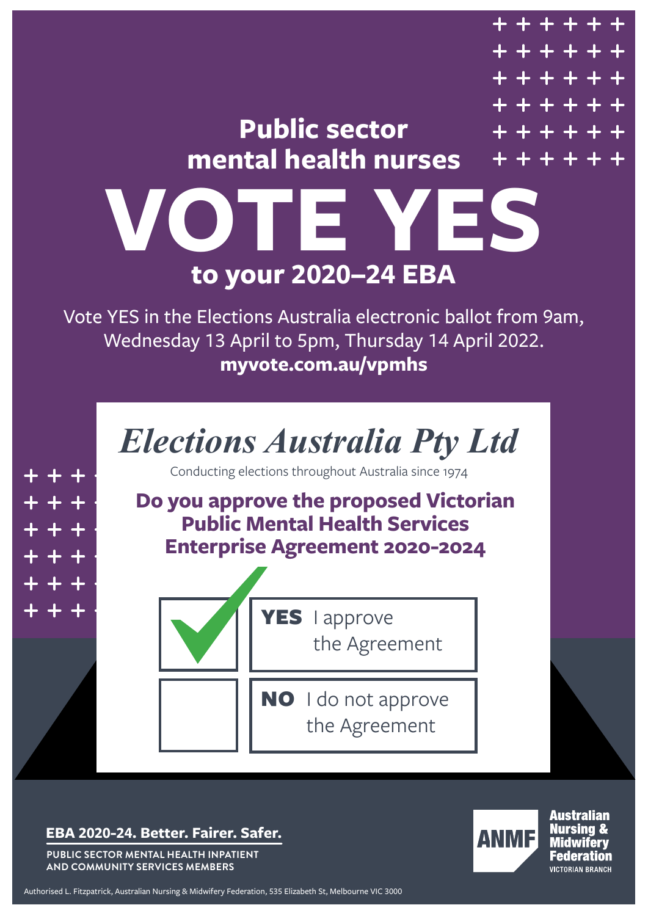

**EBA 2020-24. Better. Fairer. Safer.** 

**PUBLIC SECTOR MENTAL HEALTH INPATIENT AND COMMUNITY SERVICES MEMBERS**



**Australian** Nursina & Midwiferv **Federation** VICTORIAN BRANCH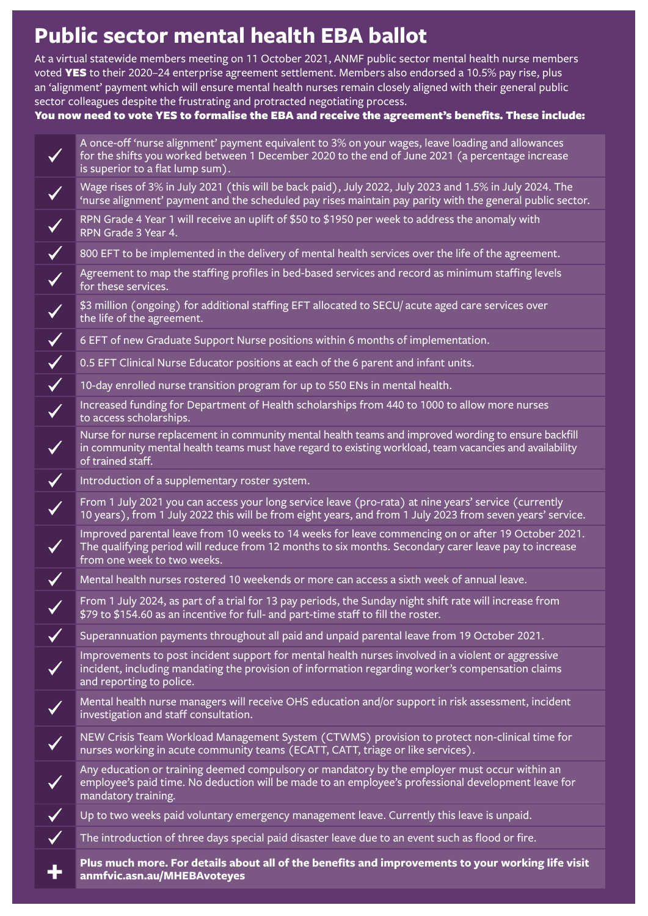## **Public sector mental health EBA ballot**

At a virtual statewide members meeting on 11 October 2021, ANMF public sector mental health nurse members voted YES to their 2020–24 enterprise agreement settlement. Members also endorsed a 10.5% pay rise, plus an 'alignment' payment which will ensure mental health nurses remain closely aligned with their general public sector colleagues despite the frustrating and protracted negotiating process.

You now need to vote YES to formalise the EBA and receive the agreement's benefits. These include:

A once-off 'nurse alignment' payment equivalent to 3% on your wages, leave loading and allowances  $\blacktriangledown$ for the shifts you worked between 1 December 2020 to the end of June 2021 (a percentage increase is superior to a flat lump sum). Wage rises of 3% in July 2021 (this will be back paid), July 2022, July 2023 and 1.5% in July 2024. The 'nurse alignment' payment and the scheduled pay rises maintain pay parity with the general public sector. RPN Grade 4 Year 1 will receive an uplift of \$50 to \$1950 per week to address the anomaly with RPN Grade 3 Year 4.  $\checkmark$ 800 EFT to be implemented in the delivery of mental health services over the life of the agreement. Agreement to map the staffing profiles in bed-based services and record as minimum staffing levels for these services. \$3 million (ongoing) for additional staffing EFT allocated to SECU/ acute aged care services over the life of the agreement. 6 EFT of new Graduate Support Nurse positions within 6 months of implementation.  $\checkmark$  $\checkmark$ 0.5 EFT Clinical Nurse Educator positions at each of the 6 parent and infant units.  $\checkmark$ 10-day enrolled nurse transition program for up to 550 ENs in mental health. Increased funding for Department of Health scholarships from 440 to 1000 to allow more nurses  $\checkmark$ to access scholarships. Nurse for nurse replacement in community mental health teams and improved wording to ensure backfill in community mental health teams must have regard to existing workload, team vacancies and availability of trained staff.  $\checkmark$ Introduction of a supplementary roster system. From 1 July 2021 you can access your long service leave (pro-rata) at nine years' service (currently  $\checkmark$ 10 years), from 1 July 2022 this will be from eight years, and from 1 July 2023 from seven years' service. Improved parental leave from 10 weeks to 14 weeks for leave commencing on or after 19 October 2021. The qualifying period will reduce from 12 months to six months. Secondary carer leave pay to increase from one week to two weeks. Mental health nurses rostered 10 weekends or more can access a sixth week of annual leave.  $\checkmark$ From 1 July 2024, as part of a trial for 13 pay periods, the Sunday night shift rate will increase from \$79 to \$154.60 as an incentive for full- and part-time staff to fill the roster.  $\checkmark$ Superannuation payments throughout all paid and unpaid parental leave from 19 October 2021. Improvements to post incident support for mental health nurses involved in a violent or aggressive  $\checkmark$ incident, including mandating the provision of information regarding worker's compensation claims and reporting to police. Mental health nurse managers will receive OHS education and/or support in risk assessment, incident investigation and staff consultation. NEW Crisis Team Workload Management System (CTWMS) provision to protect non-clinical time for nurses working in acute community teams (ECATT, CATT, triage or like services). Any education or training deemed compulsory or mandatory by the employer must occur within an employee's paid time. No deduction will be made to an employee's professional development leave for mandatory training.  $\checkmark$ Up to two weeks paid voluntary emergency management leave. Currently this leave is unpaid. The introduction of three days special paid disaster leave due to an event such as flood or fire.  $\checkmark$ **+ [Plus much more. For details about all of the benefits and improvements to your working life visit](https://anmfvic.asn.au/MHEBAvoteyes)  anmfvic.asn.au/MHEBAvoteyes**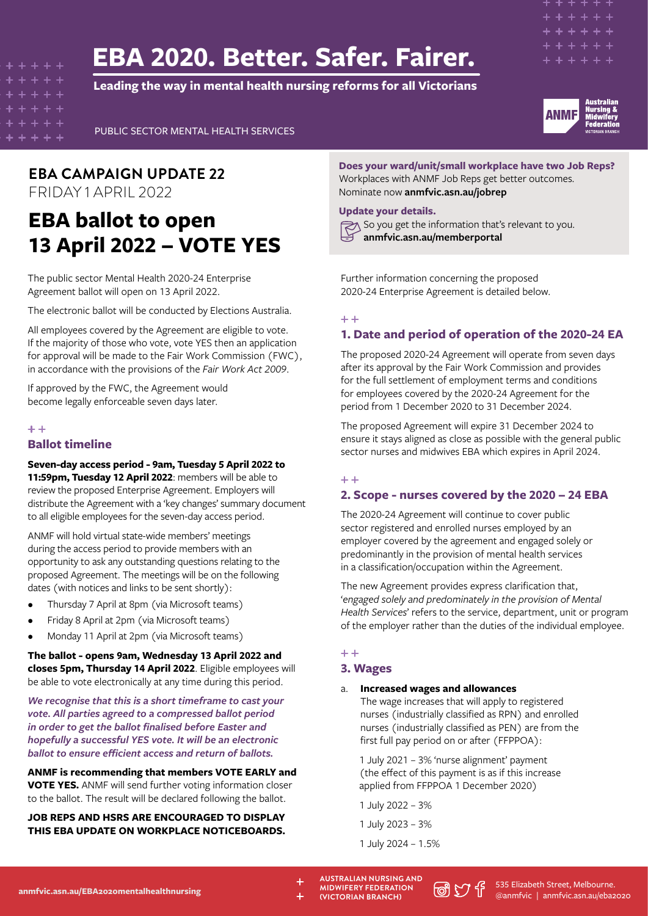## **EBA 2020. Better. Safer. Fairer.**

**Leading the way in mental health nursing reforms for all Victorians**





PUBLIC SECTOR MENTAL HEALTH SERVICES

## **EBA CAMPAIGN UPDATE 22** FRIDAY 1 APRIL 2022

## **EBA ballot to open 13 April 2022 – VOTE YES**

The public sector Mental Health 2020-24 Enterprise Agreement ballot will open on 13 April 2022.

The electronic ballot will be conducted by Elections Australia.

All employees covered by the Agreement are eligible to vote. If the majority of those who vote, vote YES then an application for approval will be made to the Fair Work Commission (FWC), in accordance with the provisions of the *Fair Work Act 2009*.

If approved by the FWC, the Agreement would become legally enforceable seven days later.

#### $+ +$

## **Ballot timeline**

## **Seven-day access period - 9am, Tuesday 5 April 2022 to 11:59pm, Tuesday 12 April 2022**: members will be able to

review the proposed Enterprise Agreement. Employers will distribute the Agreement with a 'key changes' summary document to all eligible employees for the seven-day access period.

ANMF will hold virtual state-wide members' meetings during the access period to provide members with an opportunity to ask any outstanding questions relating to the proposed Agreement. The meetings will be on the following dates (with notices and links to be sent shortly):

- Thursday 7 April at 8pm (via Microsoft teams)
- Friday 8 April at 2pm (via Microsoft teams)
- Monday 11 April at 2pm (via Microsoft teams)

**The ballot - opens 9am, Wednesday 13 April 2022 and closes 5pm, Thursday 14 April 2022**. Eligible employees will be able to vote electronically at any time during this period.

*We recognise that this is a short timeframe to cast your vote. All parties agreed to a compressed ballot period in order to get the ballot finalised before Easter and hopefully a successful YES vote. It will be an electronic ballot to ensure efficient access and return of ballots.*

**ANMF is recommending that members VOTE EARLY and VOTE YES.** ANMF will send further voting information closer to the ballot. The result will be declared following the ballot.

**JOB REPS AND HSRS ARE ENCOURAGED TO DISPLAY THIS EBA UPDATE ON WORKPLACE NOTICEBOARDS.**

**Does your ward/unit/small workplace have two Job Reps?** Workplaces with ANMF Job Reps get better outcomes. Nominate now **[anmfvic.asn.au/jobrep](http://anmfvic.asn.au/jobrep)**

#### **Update your details.**

So you get the information that's relevant to you. **[anmfvic.asn.au/memberportal](http://anmfvic.asn.au/memberportal)**

Further information concerning the proposed 2020-24 Enterprise Agreement is detailed below.

#### بلبار بلبار

## **1. Date and period of operation of the 2020-24 EA**

The proposed 2020-24 Agreement will operate from seven days after its approval by the Fair Work Commission and provides for the full settlement of employment terms and conditions for employees covered by the 2020-24 Agreement for the period from 1 December 2020 to 31 December 2024.

The proposed Agreement will expire 31 December 2024 to ensure it stays aligned as close as possible with the general public sector nurses and midwives EBA which expires in April 2024.

## $+ +$

## **2. Scope - nurses covered by the 2020 – 24 EBA**

The 2020-24 Agreement will continue to cover public sector registered and enrolled nurses employed by an employer covered by the agreement and engaged solely or predominantly in the provision of mental health services in a classification/occupation within the Agreement.

The new Agreement provides express clarification that, '*engaged solely and predominately in the provision of Mental Health Services*' refers to the service, department, unit or program of the employer rather than the duties of the individual employee.

## $+ +$

## **3. Wages**

#### a. **Increased wages and allowances**

The wage increases that will apply to registered nurses (industrially classified as RPN) and enrolled nurses (industrially classified as PEN) are from the first full pay period on or after (FFPPOA):

1 July 2021 – 3% 'nurse alignment' payment (the effect of this payment is as if this increase applied from FFPPOA 1 December 2020)

1 July 2022 – 3%

1 July 2023 – 3%

1 July 2024 – 1.5%

**[anmfvic.asn.au/EBA2020mentalhealthnursing](https://anmfvic.asn.au/eba2020mentalhealthnursing)** 

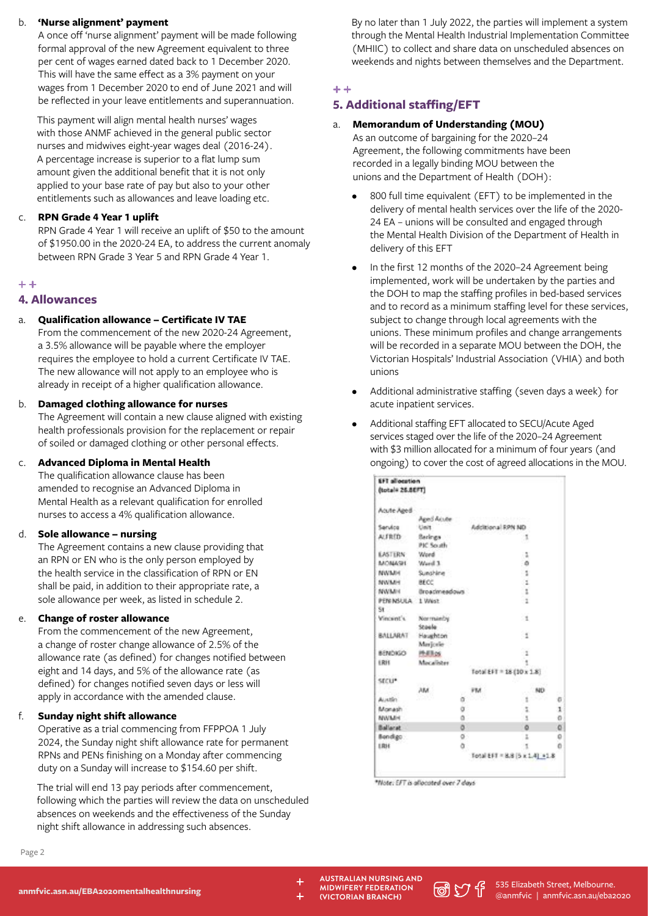## b. **'Nurse alignment' payment**

A once off 'nurse alignment' payment will be made following formal approval of the new Agreement equivalent to three per cent of wages earned dated back to 1 December 2020. This will have the same effect as a 3% payment on your wages from 1 December 2020 to end of June 2021 and will be reflected in your leave entitlements and superannuation.

This payment will align mental health nurses' wages with those ANMF achieved in the general public sector nurses and midwives eight-year wages deal (2016-24). A percentage increase is superior to a flat lump sum amount given the additional benefit that it is not only applied to your base rate of pay but also to your other entitlements such as allowances and leave loading etc.

## c. **RPN Grade 4 Year 1 uplift**

RPN Grade 4 Year 1 will receive an uplift of \$50 to the amount of \$1950.00 in the 2020-24 EA, to address the current anomaly between RPN Grade 3 Year 5 and RPN Grade 4 Year 1.

## $+ +$

## **4. Allowances**

## a. **Qualification allowance – Certificate IV TAE**

From the commencement of the new 2020-24 Agreement, a 3.5% allowance will be payable where the employer requires the employee to hold a current Certificate IV TAE. The new allowance will not apply to an employee who is already in receipt of a higher qualification allowance.

#### b. **Damaged clothing allowance for nurses**

The Agreement will contain a new clause aligned with existing health professionals provision for the replacement or repair of soiled or damaged clothing or other personal effects.

## c. **Advanced Diploma in Mental Health**

The qualification allowance clause has been amended to recognise an Advanced Diploma in Mental Health as a relevant qualification for enrolled nurses to access a 4% qualification allowance.

## d. **Sole allowance – nursing**

The Agreement contains a new clause providing that an RPN or EN who is the only person employed by the health service in the classification of RPN or EN shall be paid, in addition to their appropriate rate, a sole allowance per week, as listed in schedule 2.

## **Change of roster allowance**

From the commencement of the new Agreement, a change of roster change allowance of 2.5% of the allowance rate (as defined) for changes notified between eight and 14 days, and 5% of the allowance rate (as defined) for changes notified seven days or less will apply in accordance with the amended clause.

## f. **Sunday night shift allowance**

**[anmfvic.asn.au/EBA2020mentalhealthnursing](https://anmfvic.asn.au/eba2020mentalhealthnursing)** 

Operative as a trial commencing from FFPPOA 1 July 2024, the Sunday night shift allowance rate for permanent RPNs and PENs finishing on a Monday after commencing duty on a Sunday will increase to \$154.60 per shift.

The trial will end 13 pay periods after commencement, following which the parties will review the data on unscheduled absences on weekends and the effectiveness of the Sunday night shift allowance in addressing such absences.

By no later than 1 July 2022, the parties will implement a system through the Mental Health Industrial Implementation Committee (MHIIC) to collect and share data on unscheduled absences on weekends and nights between themselves and the Department.

#### $+ +$

## **5. Additional staffing/EFT**

## a. **Memorandum of Understanding (MOU)**

As an outcome of bargaining for the 2020–24 Agreement, the following commitments have been recorded in a legally binding MOU between the unions and the Department of Health (DOH):

- 800 full time equivalent (EFT) to be implemented in the delivery of mental health services over the life of the 2020- 24 EA – unions will be consulted and engaged through the Mental Health Division of the Department of Health in delivery of this EFT
- In the first 12 months of the 2020-24 Agreement being implemented, work will be undertaken by the parties and the DOH to map the staffing profiles in bed-based services and to record as a minimum staffing level for these services, subject to change through local agreements with the unions. These minimum profiles and change arrangements will be recorded in a separate MOU between the DOH, the Victorian Hospitals' Industrial Association (VHIA) and both unions
- Additional administrative staffing (seven days a week) for acute inpatient services.
- Additional staffing EFT allocated to SECU/Acute Aged services staged over the life of the 2020–24 Agreement with \$3 million allocated for a minimum of four years (and ongoing) to cover the cost of agreed allocations in the MOU.

| EFT allocation   |                       |    |                   |                                 |   |
|------------------|-----------------------|----|-------------------|---------------------------------|---|
| (total# 26.8EFT) |                       |    |                   |                                 |   |
| Acute Aged       |                       |    |                   |                                 |   |
|                  | Aged Acute            |    |                   |                                 |   |
| Service          | Unit                  |    | Additional RPN ND |                                 |   |
| ALERED -         | Berings:<br>PIC South |    |                   |                                 |   |
| <b>LASTERN</b>   | Word                  |    |                   | 12                              |   |
| MOMAGE.          | E lins/W              |    |                   | ۵                               |   |
| NWMH             | Sunshine              |    |                   | ्र                              |   |
| <b>NWMM</b>      | <b>BECC</b>           |    |                   | 61                              |   |
| NWMH             | droadmeadows          |    |                   | $\frac{1}{2}$                   |   |
| <b>PEN NSULA</b> | 1 West                |    |                   |                                 |   |
| St.              |                       |    |                   |                                 |   |
| Vincent's        | Normanby              |    |                   | $\sim$                          |   |
|                  | <b>Staala</b>         |    |                   |                                 |   |
| BALLARAT         | Haughton              |    |                   | ×.                              |   |
|                  | Marjorie              |    |                   |                                 |   |
| CONOMER          | <b>Phillips</b>       |    |                   | 1                               |   |
| (RH              | Macalider             |    |                   | ï                               |   |
|                  |                       |    |                   | Fotal EFT = 18 (10 x 1.8)       |   |
| steur.           |                       |    |                   |                                 |   |
|                  | AM.                   |    | PM                | ND                              |   |
| Austin           |                       | a  |                   | t                               | 石 |
| Monash           |                       | ö  |                   | t                               | 1 |
| <b>MWMFH</b>     |                       | ä  |                   | 9                               | o |
| <b>Ballarat</b>  |                       | ö  |                   | ö                               | ö |
| Bendigo:         |                       | o. |                   | ı                               | o |
| <b>LRH</b>       |                       | ă  |                   | 1                               | O |
|                  |                       |    |                   | Total EFT = 8.8 (5 x 1.4) = 1.8 |   |

\*Nate: EFT is allocated over 7 days

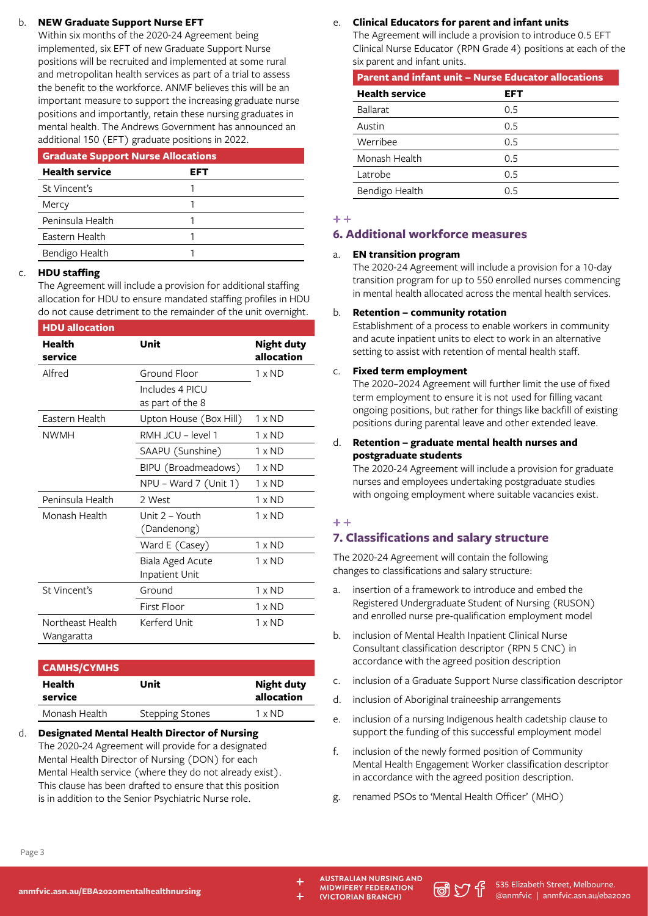## b. **NEW Graduate Support Nurse EFT**

Within six months of the 2020-24 Agreement being implemented, six EFT of new Graduate Support Nurse positions will be recruited and implemented at some rural and metropolitan health services as part of a trial to assess the benefit to the workforce. ANMF believes this will be an important measure to support the increasing graduate nurse positions and importantly, retain these nursing graduates in mental health. The Andrews Government has announced an additional 150 (EFT) graduate positions in 2022.

| <b>Graduate Support Nurse Allocations</b> |     |  |
|-------------------------------------------|-----|--|
| <b>Health service</b>                     | EFT |  |
| St Vincent's                              |     |  |
| Mercy                                     |     |  |
| Peninsula Health                          |     |  |
| Eastern Health                            |     |  |
| Bendigo Health                            |     |  |

## c. **HDU staffing**

The Agreement will include a provision for additional staffing allocation for HDU to ensure mandated staffing profiles in HDU do not cause detriment to the remainder of the unit overnight.

| <b>HDU</b> allocation          |                                     |                                 |
|--------------------------------|-------------------------------------|---------------------------------|
| Health<br>service              | Unit                                | <b>Night duty</b><br>allocation |
| Alfred                         | Ground Floor                        | $1 \times N$ D                  |
|                                | Includes 4 PICU<br>as part of the 8 |                                 |
| Eastern Health                 | Upton House (Box Hill)              | $1 \times N$ D                  |
| <b>NWMH</b>                    | RMH JCU - level 1                   | $1 \times N$ D                  |
|                                | SAAPU (Sunshine)                    | $1 \times N$ D                  |
|                                | BIPU (Broadmeadows)                 | $1 \times N$ D                  |
|                                | NPU - Ward 7 (Unit 1)               | $1 \times N$ D                  |
| Peninsula Health               | 2 West                              | $1 \times N$ D                  |
| Monash Health                  | Unit 2 - Youth<br>(Dandenong)       | $1 \times N$ D                  |
|                                | Ward E (Casey)                      | $1 \times N$ D                  |
|                                | Biala Aged Acute<br>Inpatient Unit  | $1 \times N$ D                  |
| St Vincent's                   | Ground                              | $1 \times N$ D                  |
|                                | First Floor                         | $1 \times N$ D                  |
| Northeast Health<br>Wangaratta | Kerferd Unit                        | $1 \times N$ D                  |

| <b>CAMHS/CYMHS</b> |                        |                                 |  |
|--------------------|------------------------|---------------------------------|--|
| Health<br>service  | Unit                   | <b>Night duty</b><br>allocation |  |
| Monash Health      | <b>Stepping Stones</b> | $1 \times N$ D                  |  |

d. **Designated Mental Health Director of Nursing**  The 2020-24 Agreement will provide for a designated Mental Health Director of Nursing (DON) for each Mental Health service (where they do not already exist). This clause has been drafted to ensure that this position is in addition to the Senior Psychiatric Nurse role.

## e. **Clinical Educators for parent and infant units**

The Agreement will include a provision to introduce 0.5 EFT Clinical Nurse Educator (RPN Grade 4) positions at each of the six parent and infant units.

| <b>Parent and infant unit - Nurse Educator allocations</b> |     |  |
|------------------------------------------------------------|-----|--|
| <b>Health service</b>                                      | EFT |  |
| <b>Ballarat</b>                                            | 0.5 |  |
| Austin                                                     | 0.5 |  |
| Werribee                                                   | 0.5 |  |
| Monash Health                                              | 0.5 |  |
| Latrobe                                                    | 0.5 |  |
| Bendigo Health                                             | በ 5 |  |

## $+ +$

## **6. Additional workforce measures**

## a. **EN transition program**

The 2020-24 Agreement will include a provision for a 10-day transition program for up to 550 enrolled nurses commencing in mental health allocated across the mental health services.

## b. **Retention – community rotation**

Establishment of a process to enable workers in community and acute inpatient units to elect to work in an alternative setting to assist with retention of mental health staff.

## c. **Fixed term employment**

The 2020–2024 Agreement will further limit the use of fixed term employment to ensure it is not used for filling vacant ongoing positions, but rather for things like backfill of existing positions during parental leave and other extended leave.

## d. **Retention – graduate mental health nurses and postgraduate students**

The 2020-24 Agreement will include a provision for graduate nurses and employees undertaking postgraduate studies with ongoing employment where suitable vacancies exist.

## $+ +$

## **7. Classifications and salary structure**

The 2020-24 Agreement will contain the following changes to classifications and salary structure:

- a. insertion of a framework to introduce and embed the Registered Undergraduate Student of Nursing (RUSON) and enrolled nurse pre-qualification employment model
- b. inclusion of Mental Health Inpatient Clinical Nurse Consultant classification descriptor (RPN 5 CNC) in accordance with the agreed position description
- c. inclusion of a Graduate Support Nurse classification descriptor
- d. inclusion of Aboriginal traineeship arrangements
- e. inclusion of a nursing Indigenous health cadetship clause to support the funding of this successful employment model
- f. inclusion of the newly formed position of Community Mental Health Engagement Worker classification descriptor in accordance with the agreed position description.
- g. renamed PSOs to 'Mental Health Officer' (MHO)

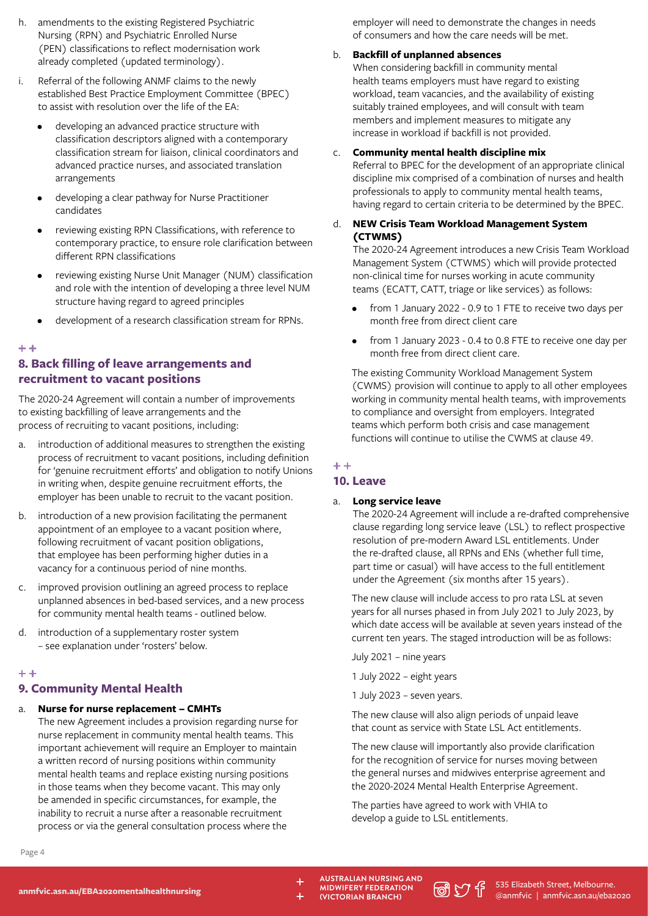- h. amendments to the existing Registered Psychiatric Nursing (RPN) and Psychiatric Enrolled Nurse (PEN) classifications to reflect modernisation work already completed (updated terminology).
- i. Referral of the following ANMF claims to the newly established Best Practice Employment Committee (BPEC) to assist with resolution over the life of the EA:
	- developing an advanced practice structure with classification descriptors aligned with a contemporary classification stream for liaison, clinical coordinators and advanced practice nurses, and associated translation arrangements
	- developing a clear pathway for Nurse Practitioner candidates
	- reviewing existing RPN Classifications, with reference to contemporary practice, to ensure role clarification between different RPN classifications
	- reviewing existing Nurse Unit Manager (NUM) classification and role with the intention of developing a three level NUM structure having regard to agreed principles
	- development of a research classification stream for RPNs.

#### $+ +$

## **8. Back filling of leave arrangements and recruitment to vacant positions**

The 2020-24 Agreement will contain a number of improvements to existing backfilling of leave arrangements and the process of recruiting to vacant positions, including:

- a. introduction of additional measures to strengthen the existing process of recruitment to vacant positions, including definition for 'genuine recruitment efforts' and obligation to notify Unions in writing when, despite genuine recruitment efforts, the employer has been unable to recruit to the vacant position.
- b. introduction of a new provision facilitating the permanent appointment of an employee to a vacant position where, following recruitment of vacant position obligations, that employee has been performing higher duties in a vacancy for a continuous period of nine months.
- c. improved provision outlining an agreed process to replace unplanned absences in bed-based services, and a new process for community mental health teams - outlined below.
- d. introduction of a supplementary roster system – see explanation under 'rosters' below.

## $+ +$

## **9. Community Mental Health**

#### a. **Nurse for nurse replacement – CMHTs**

The new Agreement includes a provision regarding nurse for nurse replacement in community mental health teams. This important achievement will require an Employer to maintain a written record of nursing positions within community mental health teams and replace existing nursing positions in those teams when they become vacant. This may only be amended in specific circumstances, for example, the inability to recruit a nurse after a reasonable recruitment process or via the general consultation process where the

employer will need to demonstrate the changes in needs of consumers and how the care needs will be met.

#### b. **Backfill of unplanned absences**

When considering backfill in community mental health teams employers must have regard to existing workload, team vacancies, and the availability of existing suitably trained employees, and will consult with team members and implement measures to mitigate any increase in workload if backfill is not provided.

#### c. **Community mental health discipline mix**

Referral to BPEC for the development of an appropriate clinical discipline mix comprised of a combination of nurses and health professionals to apply to community mental health teams, having regard to certain criteria to be determined by the BPEC.

## d. **NEW Crisis Team Workload Management System (CTWMS)**

The 2020-24 Agreement introduces a new Crisis Team Workload Management System (CTWMS) which will provide protected non-clinical time for nurses working in acute community teams (ECATT, CATT, triage or like services) as follows:

- from 1 January 2022 0.9 to 1 FTE to receive two days per month free from direct client care
- from 1 January 2023 0.4 to 0.8 FTE to receive one day per month free from direct client care.

The existing Community Workload Management System (CWMS) provision will continue to apply to all other employees working in community mental health teams, with improvements to compliance and oversight from employers. Integrated teams which perform both crisis and case management functions will continue to utilise the CWMS at clause 49.

## $+ +$

## **10. Leave**

#### a. **Long service leave**

The 2020-24 Agreement will include a re-drafted comprehensive clause regarding long service leave (LSL) to reflect prospective resolution of pre-modern Award LSL entitlements. Under the re-drafted clause, all RPNs and ENs (whether full time, part time or casual) will have access to the full entitlement under the Agreement (six months after 15 years).

The new clause will include access to pro rata LSL at seven years for all nurses phased in from July 2021 to July 2023, by which date access will be available at seven years instead of the current ten years. The staged introduction will be as follows:

July 2021 – nine years

1 July 2022 – eight years

1 July 2023 – seven years.

The new clause will also align periods of unpaid leave that count as service with State LSL Act entitlements.

The new clause will importantly also provide clarification for the recognition of service for nurses moving between the general nurses and midwives enterprise agreement and the 2020-2024 Mental Health Enterprise Agreement.

The parties have agreed to work with VHIA to develop a guide to LSL entitlements.

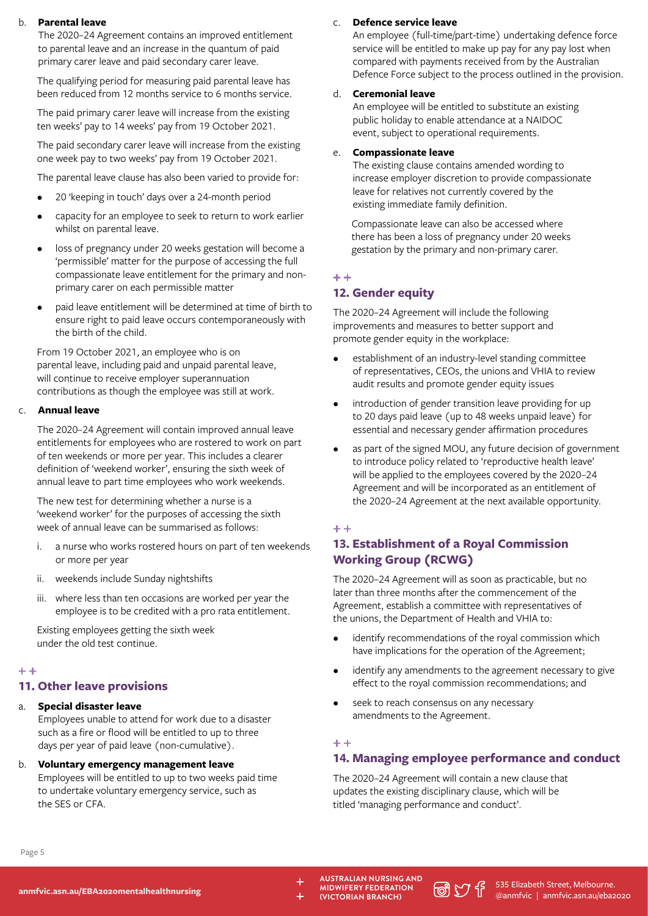#### b. **Parental leave**

The 2020–24 Agreement contains an improved entitlement to parental leave and an increase in the quantum of paid primary carer leave and paid secondary carer leave.

The qualifying period for measuring paid parental leave has been reduced from 12 months service to 6 months service.

The paid primary carer leave will increase from the existing ten weeks' pay to 14 weeks' pay from 19 October 2021.

The paid secondary carer leave will increase from the existing one week pay to two weeks' pay from 19 October 2021.

The parental leave clause has also been varied to provide for:

- 20 'keeping in touch' days over a 24-month period
- capacity for an employee to seek to return to work earlier whilst on parental leave.
- loss of pregnancy under 20 weeks gestation will become a 'permissible' matter for the purpose of accessing the full compassionate leave entitlement for the primary and nonprimary carer on each permissible matter
- paid leave entitlement will be determined at time of birth to ensure right to paid leave occurs contemporaneously with the birth of the child.

From 19 October 2021, an employee who is on parental leave, including paid and unpaid parental leave, will continue to receive employer superannuation contributions as though the employee was still at work.

## c. **Annual leave**

The 2020–24 Agreement will contain improved annual leave entitlements for employees who are rostered to work on part of ten weekends or more per year. This includes a clearer definition of 'weekend worker', ensuring the sixth week of annual leave to part time employees who work weekends.

The new test for determining whether a nurse is a 'weekend worker' for the purposes of accessing the sixth week of annual leave can be summarised as follows:

- i. a nurse who works rostered hours on part of ten weekends or more per year
- ii. weekends include Sunday nightshifts
- iii. where less than ten occasions are worked per year the employee is to be credited with a pro rata entitlement.

Existing employees getting the sixth week under the old test continue.

## $+ +$

## **11. Other leave provisions**

## a. **Special disaster leave**

Employees unable to attend for work due to a disaster such as a fire or flood will be entitled to up to three days per year of paid leave (non-cumulative).

## b. **Voluntary emergency management leave** Employees will be entitled to up to two weeks paid time to undertake voluntary emergency service, such as the SES or CFA.

## c. **Defence service leave**

An employee (full-time/part-time) undertaking defence force service will be entitled to make up pay for any pay lost when compared with payments received from by the Australian Defence Force subject to the process outlined in the provision.

## d. **Ceremonial leave**

An employee will be entitled to substitute an existing public holiday to enable attendance at a NAIDOC event, subject to operational requirements.

#### e. **Compassionate leave**

The existing clause contains amended wording to increase employer discretion to provide compassionate leave for relatives not currently covered by the existing immediate family definition.

Compassionate leave can also be accessed where there has been a loss of pregnancy under 20 weeks gestation by the primary and non-primary carer.

## $+ +$

## **12. Gender equity**

The 2020–24 Agreement will include the following improvements and measures to better support and promote gender equity in the workplace:

- establishment of an industry-level standing committee of representatives, CEOs, the unions and VHIA to review audit results and promote gender equity issues
- introduction of gender transition leave providing for up to 20 days paid leave (up to 48 weeks unpaid leave) for essential and necessary gender affirmation procedures
- as part of the signed MOU, any future decision of government to introduce policy related to 'reproductive health leave' will be applied to the employees covered by the 2020–24 Agreement and will be incorporated as an entitlement of the 2020–24 Agreement at the next available opportunity.

#### $+ +$

## **13. Establishment of a Royal Commission Working Group (RCWG)**

The 2020–24 Agreement will as soon as practicable, but no later than three months after the commencement of the Agreement, establish a committee with representatives of the unions, the Department of Health and VHIA to:

- identify recommendations of the royal commission which have implications for the operation of the Agreement;
- identify any amendments to the agreement necessary to give effect to the royal commission recommendations; and
- seek to reach consensus on any necessary amendments to the Agreement.

## $+ +$

## **14. Managing employee performance and conduct**

The 2020–24 Agreement will contain a new clause that updates the existing disciplinary clause, which will be titled 'managing performance and conduct'.

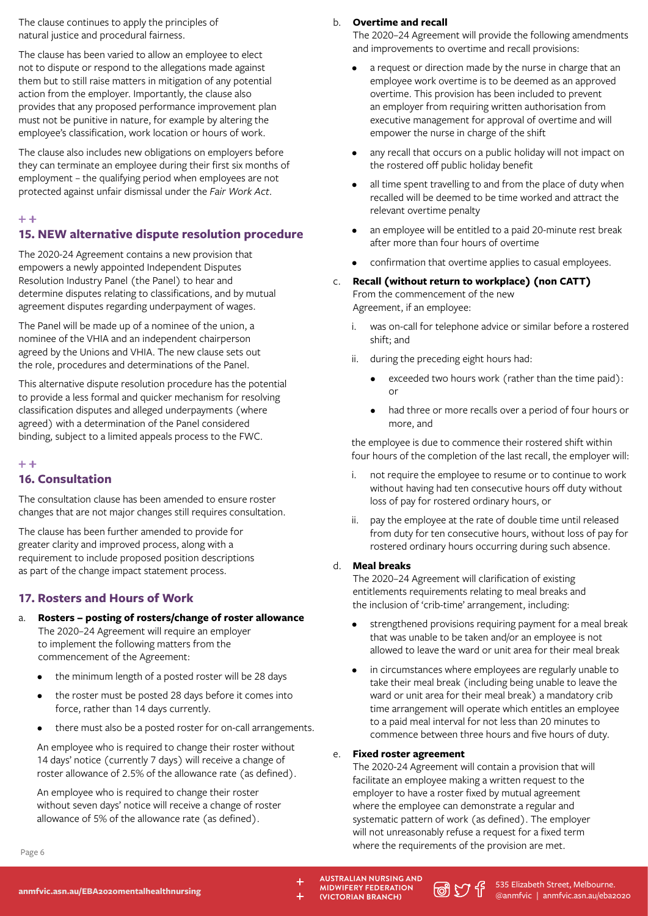The clause continues to apply the principles of natural justice and procedural fairness.

The clause has been varied to allow an employee to elect not to dispute or respond to the allegations made against them but to still raise matters in mitigation of any potential action from the employer. Importantly, the clause also provides that any proposed performance improvement plan must not be punitive in nature, for example by altering the employee's classification, work location or hours of work.

The clause also includes new obligations on employers before they can terminate an employee during their first six months of employment – the qualifying period when employees are not protected against unfair dismissal under the *Fair Work Act*.

#### $+ +$

## **15. NEW alternative dispute resolution procedure**

The 2020-24 Agreement contains a new provision that empowers a newly appointed Independent Disputes Resolution Industry Panel (the Panel) to hear and determine disputes relating to classifications, and by mutual agreement disputes regarding underpayment of wages.

The Panel will be made up of a nominee of the union, a nominee of the VHIA and an independent chairperson agreed by the Unions and VHIA. The new clause sets out the role, procedures and determinations of the Panel.

This alternative dispute resolution procedure has the potential to provide a less formal and quicker mechanism for resolving classification disputes and alleged underpayments (where agreed) with a determination of the Panel considered binding, subject to a limited appeals process to the FWC.

#### $+ +$

## **16. Consultation**

The consultation clause has been amended to ensure roster changes that are not major changes still requires consultation.

The clause has been further amended to provide for greater clarity and improved process, along with a requirement to include proposed position descriptions as part of the change impact statement process.

## **17. Rosters and Hours of Work**

- a. **Rosters posting of rosters/change of roster allowance** The 2020–24 Agreement will require an employer to implement the following matters from the commencement of the Agreement:
	- the minimum length of a posted roster will be 28 days
	- the roster must be posted 28 days before it comes into force, rather than 14 days currently.
	- there must also be a posted roster for on-call arrangements.

An employee who is required to change their roster without 14 days' notice (currently 7 days) will receive a change of roster allowance of 2.5% of the allowance rate (as defined).

An employee who is required to change their roster without seven days' notice will receive a change of roster allowance of 5% of the allowance rate (as defined).

#### b. **Overtime and recall**

The 2020–24 Agreement will provide the following amendments and improvements to overtime and recall provisions:

- a request or direction made by the nurse in charge that an employee work overtime is to be deemed as an approved overtime. This provision has been included to prevent an employer from requiring written authorisation from executive management for approval of overtime and will empower the nurse in charge of the shift
- any recall that occurs on a public holiday will not impact on the rostered off public holiday benefit
- all time spent travelling to and from the place of duty when recalled will be deemed to be time worked and attract the relevant overtime penalty
- an employee will be entitled to a paid 20-minute rest break after more than four hours of overtime
- confirmation that overtime applies to casual employees.
- c. **Recall (without return to workplace) (non CATT)** From the commencement of the new Agreement, if an employee:
	- i. was on-call for telephone advice or similar before a rostered shift; and
	- ii. during the preceding eight hours had:
		- exceeded two hours work (rather than the time paid): or
		- had three or more recalls over a period of four hours or more, and

the employee is due to commence their rostered shift within four hours of the completion of the last recall, the employer will:

- i. not require the employee to resume or to continue to work without having had ten consecutive hours off duty without loss of pay for rostered ordinary hours, or
- ii. pay the employee at the rate of double time until released from duty for ten consecutive hours, without loss of pay for rostered ordinary hours occurring during such absence.

## d. **Meal breaks**

The 2020–24 Agreement will clarification of existing entitlements requirements relating to meal breaks and the inclusion of 'crib-time' arrangement, including:

- strengthened provisions requiring payment for a meal break that was unable to be taken and/or an employee is not allowed to leave the ward or unit area for their meal break
- in circumstances where employees are regularly unable to take their meal break (including being unable to leave the ward or unit area for their meal break) a mandatory crib time arrangement will operate which entitles an employee to a paid meal interval for not less than 20 minutes to commence between three hours and five hours of duty.

## e. **Fixed roster agreement**

The 2020-24 Agreement will contain a provision that will facilitate an employee making a written request to the employer to have a roster fixed by mutual agreement where the employee can demonstrate a regular and systematic pattern of work (as defined). The employer will not unreasonably refuse a request for a fixed term where the requirements of the provision are met.

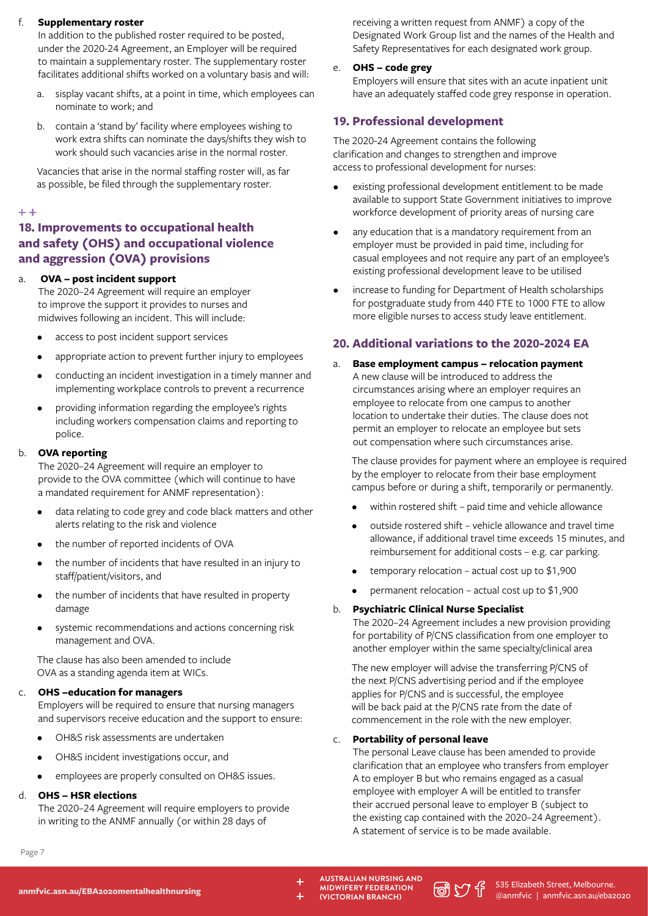## **Supplementary roster**

In addition to the published roster required to be posted, under the 2020-24 Agreement, an Employer will be required to maintain a supplementary roster. The supplementary roster facilitates additional shifts worked on a voluntary basis and will:

- a. sisplay vacant shifts, at a point in time, which employees can nominate to work; and
- b. contain a 'stand by' facility where employees wishing to work extra shifts can nominate the days/shifts they wish to work should such vacancies arise in the normal roster.

Vacancies that arise in the normal staffing roster will, as far as possible, be filed through the supplementary roster.

## $+ +$

## **18. Improvements to occupational health and safety (OHS) and occupational violence and aggression (OVA) provisions**

## a. **OVA – post incident support**

The 2020–24 Agreement will require an employer to improve the support it provides to nurses and midwives following an incident. This will include:

- access to post incident support services
- appropriate action to prevent further injury to employees
- conducting an incident investigation in a timely manner and implementing workplace controls to prevent a recurrence
- providing information regarding the employee's rights including workers compensation claims and reporting to police.

## b. **OVA reporting**

The 2020–24 Agreement will require an employer to provide to the OVA committee (which will continue to have a mandated requirement for ANMF representation):

- data relating to code grey and code black matters and other alerts relating to the risk and violence
- the number of reported incidents of OVA
- the number of incidents that have resulted in an injury to staff/patient/visitors, and
- the number of incidents that have resulted in property damage
- systemic recommendations and actions concerning risk management and OVA.

The clause has also been amended to include OVA as a standing agenda item at WICs.

## **OHS** –education for managers

Employers will be required to ensure that nursing managers and supervisors receive education and the support to ensure:

- OH&S risk assessments are undertaken
- OH&S incident investigations occur, and
- employees are properly consulted on OH&S issues.

## d. **OHS – HSR elections**

The 2020–24 Agreement will require employers to provide in writing to the ANMF annually (or within 28 days of

receiving a written request from ANMF) a copy of the Designated Work Group list and the names of the Health and Safety Representatives for each designated work group.

e. **OHS – code grey**

Employers will ensure that sites with an acute inpatient unit have an adequately staffed code grey response in operation.

## **19. Professional development**

The 2020-24 Agreement contains the following clarification and changes to strengthen and improve access to professional development for nurses:

- existing professional development entitlement to be made available to support State Government initiatives to improve workforce development of priority areas of nursing care
- any education that is a mandatory requirement from an employer must be provided in paid time, including for casual employees and not require any part of an employee's existing professional development leave to be utilised
- increase to funding for Department of Health scholarships for postgraduate study from 440 FTE to 1000 FTE to allow more eligible nurses to access study leave entitlement.

## **20. Additional variations to the 2020-2024 EA**

a. **Base employment campus – relocation payment** A new clause will be introduced to address the circumstances arising where an employer requires an employee to relocate from one campus to another location to undertake their duties. The clause does not permit an employer to relocate an employee but sets out compensation where such circumstances arise.

The clause provides for payment where an employee is required by the employer to relocate from their base employment campus before or during a shift, temporarily or permanently.

- within rostered shift paid time and vehicle allowance
- outside rostered shift vehicle allowance and travel time allowance, if additional travel time exceeds 15 minutes, and reimbursement for additional costs – e.g. car parking.
- temporary relocation actual cost up to  $$1,900$
- permanent relocation actual cost up to  $$1,900$

## b. **Psychiatric Clinical Nurse Specialist**

The 2020–24 Agreement includes a new provision providing for portability of P/CNS classification from one employer to another employer within the same specialty/clinical area

The new employer will advise the transferring P/CNS of the next P/CNS advertising period and if the employee applies for P/CNS and is successful, the employee will be back paid at the P/CNS rate from the date of commencement in the role with the new employer.

## c. **Portability of personal leave**

The personal Leave clause has been amended to provide clarification that an employee who transfers from employer A to employer B but who remains engaged as a casual employee with employer A will be entitled to transfer their accrued personal leave to employer B (subject to the existing cap contained with the 2020–24 Agreement). A statement of service is to be made available.

Page 7